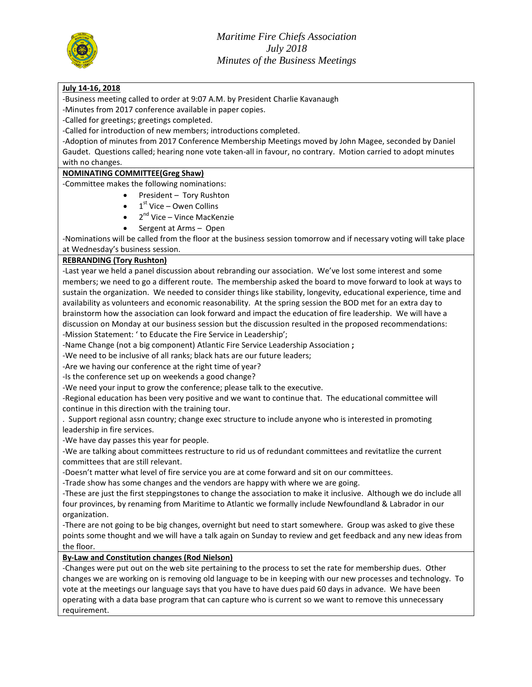

#### **July 14-16, 2018**

-Business meeting called to order at 9:07 A.M. by President Charlie Kavanaugh

-Minutes from 2017 conference available in paper copies.

-Called for greetings; greetings completed.

-Called for introduction of new members; introductions completed.

-Adoption of minutes from 2017 Conference Membership Meetings moved by John Magee, seconded by Daniel Gaudet. Questions called; hearing none vote taken-all in favour, no contrary. Motion carried to adopt minutes with no changes.

#### **NOMINATING COMMITTEE(Greg Shaw)**

-Committee makes the following nominations:

- President Tory Rushton
- $\bullet$  1<sup>st</sup> Vice Owen Collins
- 2<sup>nd</sup> Vice Vince MacKenzie
- Sergent at Arms Open

-Nominations will be called from the floor at the business session tomorrow and if necessary voting will take place at Wednesday's business session.

#### **REBRANDING (Tory Rushton)**

-Last year we held a panel discussion about rebranding our association. We've lost some interest and some members; we need to go a different route. The membership asked the board to move forward to look at ways to sustain the organization. We needed to consider things like stability, longevity, educational experience, time and availability as volunteers and economic reasonability. At the spring session the BOD met for an extra day to brainstorm how the association can look forward and impact the education of fire leadership. We will have a discussion on Monday at our business session but the discussion resulted in the proposed recommendations: -Mission Statement: ' to Educate the Fire Service in Leadership';

-Name Change (not a big component) Atlantic Fire Service Leadership Association **;**

-We need to be inclusive of all ranks; black hats are our future leaders;

-Are we having our conference at the right time of year?

-Is the conference set up on weekends a good change?

-We need your input to grow the conference; please talk to the executive.

-Regional education has been very positive and we want to continue that. The educational committee will continue in this direction with the training tour.

. Support regional assn country; change exec structure to include anyone who is interested in promoting leadership in fire services.

-We have day passes this year for people.

-We are talking about committees restructure to rid us of redundant committees and revitatlize the current committees that are still relevant.

-Doesn't matter what level of fire service you are at come forward and sit on our committees.

-Trade show has some changes and the vendors are happy with where we are going.

-These are just the first steppingstones to change the association to make it inclusive. Although we do include all four provinces, by renaming from Maritime to Atlantic we formally include Newfoundland & Labrador in our organization.

-There are not going to be big changes, overnight but need to start somewhere. Group was asked to give these points some thought and we will have a talk again on Sunday to review and get feedback and any new ideas from the floor.

#### **By-Law and Constitution changes (Rod Nielson)**

-Changes were put out on the web site pertaining to the process to set the rate for membership dues. Other changes we are working on is removing old language to be in keeping with our new processes and technology. To vote at the meetings our language says that you have to have dues paid 60 days in advance. We have been operating with a data base program that can capture who is current so we want to remove this unnecessary requirement.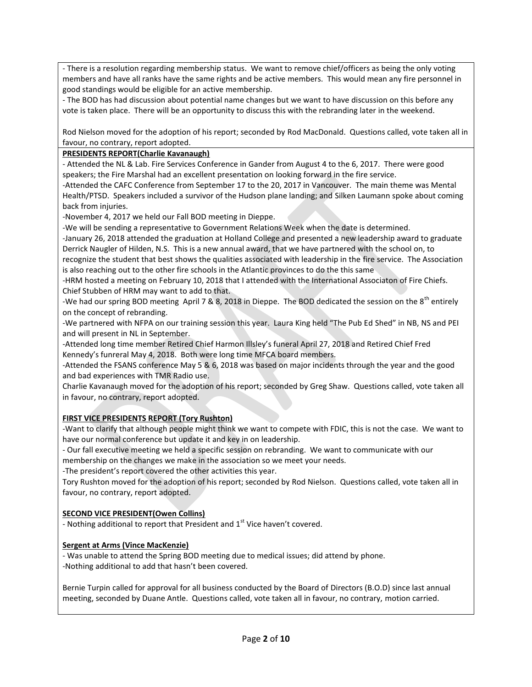- There is a resolution regarding membership status. We want to remove chief/officers as being the only voting members and have all ranks have the same rights and be active members. This would mean any fire personnel in good standings would be eligible for an active membership.

- The BOD has had discussion about potential name changes but we want to have discussion on this before any vote is taken place. There will be an opportunity to discuss this with the rebranding later in the weekend.

Rod Nielson moved for the adoption of his report; seconded by Rod MacDonald. Questions called, vote taken all in favour, no contrary, report adopted.

## **PRESIDENTS REPORT(Charlie Kavanaugh)**

- Attended the NL & Lab. Fire Services Conference in Gander from August 4 to the 6, 2017. There were good speakers; the Fire Marshal had an excellent presentation on looking forward in the fire service.

-Attended the CAFC Conference from September 17 to the 20, 2017 in Vancouver. The main theme was Mental Health/PTSD. Speakers included a survivor of the Hudson plane landing; and Silken Laumann spoke about coming back from injuries.

-November 4, 2017 we held our Fall BOD meeting in Dieppe.

-We will be sending a representative to Government Relations Week when the date is determined.

-January 26, 2018 attended the graduation at Holland College and presented a new leadership award to graduate Derrick Naugler of Hilden, N.S. This is a new annual award, that we have partnered with the school on, to

recognize the student that best shows the qualities associated with leadership in the fire service. The Association is also reaching out to the other fire schools in the Atlantic provinces to do the this same

-HRM hosted a meeting on February 10, 2018 that I attended with the International Associaton of Fire Chiefs. Chief Stubben of HRM may want to add to that.

-We had our spring BOD meeting April 7 & 8, 2018 in Dieppe. The BOD dedicated the session on the 8<sup>th</sup> entirely on the concept of rebranding.

-We partnered with NFPA on our training session this year. Laura King held "The Pub Ed Shed" in NB, NS and PEI and will present in NL in September.

-Attended long time member Retired Chief Harmon Illsley's funeral April 27, 2018 and Retired Chief Fred Kennedy's funreral May 4, 2018. Both were long time MFCA board members.

-Attended the FSANS conference May 5 & 6, 2018 was based on major incidents through the year and the good and bad experiences with TMR Radio use.

Charlie Kavanaugh moved for the adoption of his report; seconded by Greg Shaw. Questions called, vote taken all in favour, no contrary, report adopted.

# **FIRST VICE PRESIDENTS REPORT (Tory Rushton)**

-Want to clarify that although people might think we want to compete with FDIC, this is not the case. We want to have our normal conference but update it and key in on leadership.

- Our fall executive meeting we held a specific session on rebranding. We want to communicate with our membership on the changes we make in the association so we meet your needs.

-The president's report covered the other activities this year.

Tory Rushton moved for the adoption of his report; seconded by Rod Nielson. Questions called, vote taken all in favour, no contrary, report adopted.

## **SECOND VICE PRESIDENT(Owen Collins)**

- Nothing additional to report that President and  $1<sup>st</sup>$  Vice haven't covered.

## **Sergent at Arms (Vince MacKenzie)**

- Was unable to attend the Spring BOD meeting due to medical issues; did attend by phone. -Nothing additional to add that hasn't been covered.

Bernie Turpin called for approval for all business conducted by the Board of Directors (B.O.D) since last annual meeting, seconded by Duane Antle. Questions called, vote taken all in favour, no contrary, motion carried.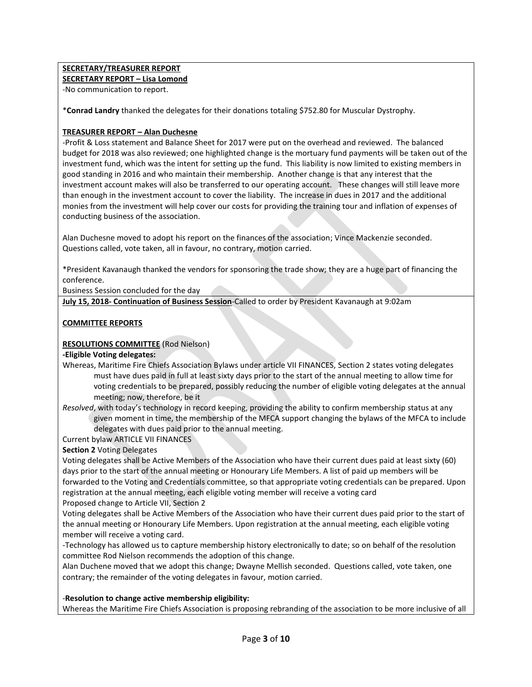## **SECRETARY/TREASURER REPORT**

**SECRETARY REPORT – Lisa Lomond**

-No communication to report.

\***Conrad Landry** thanked the delegates for their donations totaling \$752.80 for Muscular Dystrophy.

#### **TREASURER REPORT – Alan Duchesne**

-Profit & Loss statement and Balance Sheet for 2017 were put on the overhead and reviewed. The balanced budget for 2018 was also reviewed; one highlighted change is the mortuary fund payments will be taken out of the investment fund, which was the intent for setting up the fund. This liability is now limited to existing members in good standing in 2016 and who maintain their membership. Another change is that any interest that the investment account makes will also be transferred to our operating account. These changes will still leave more than enough in the investment account to cover the liability. The increase in dues in 2017 and the additional monies from the investment will help cover our costs for providing the training tour and inflation of expenses of conducting business of the association.

Alan Duchesne moved to adopt his report on the finances of the association; Vince Mackenzie seconded. Questions called, vote taken, all in favour, no contrary, motion carried.

\*President Kavanaugh thanked the vendors for sponsoring the trade show; they are a huge part of financing the conference.

Business Session concluded for the day

**July 15, 2018- Continuation of Business Session**-Called to order by President Kavanaugh at 9:02am

## **COMMITTEE REPORTS**

#### **RESOLUTIONS COMMITTEE** (Rod Nielson)

#### **-Eligible Voting delegates:**

Whereas, Maritime Fire Chiefs Association Bylaws under article VII FINANCES, Section 2 states voting delegates must have dues paid in full at least sixty days prior to the start of the annual meeting to allow time for voting credentials to be prepared, possibly reducing the number of eligible voting delegates at the annual meeting; now, therefore, be it

*Resolved*, with today's technology in record keeping, providing the ability to confirm membership status at any given moment in time, the membership of the MFCA support changing the bylaws of the MFCA to include delegates with dues paid prior to the annual meeting.

Current bylaw ARTICLE VII FINANCES

#### **Section 2** Voting Delegates

Voting delegates shall be Active Members of the Association who have their current dues paid at least sixty (60) days prior to the start of the annual meeting or Honourary Life Members. A list of paid up members will be forwarded to the Voting and Credentials committee, so that appropriate voting credentials can be prepared. Upon registration at the annual meeting, each eligible voting member will receive a voting card Proposed change to Article VII, Section 2

Voting delegates shall be Active Members of the Association who have their current dues paid prior to the start of the annual meeting or Honourary Life Members. Upon registration at the annual meeting, each eligible voting member will receive a voting card.

-Technology has allowed us to capture membership history electronically to date; so on behalf of the resolution committee Rod Nielson recommends the adoption of this change.

Alan Duchene moved that we adopt this change; Dwayne Mellish seconded. Questions called, vote taken, one contrary; the remainder of the voting delegates in favour, motion carried.

## -**Resolution to change active membership eligibility:**

Whereas the Maritime Fire Chiefs Association is proposing rebranding of the association to be more inclusive of all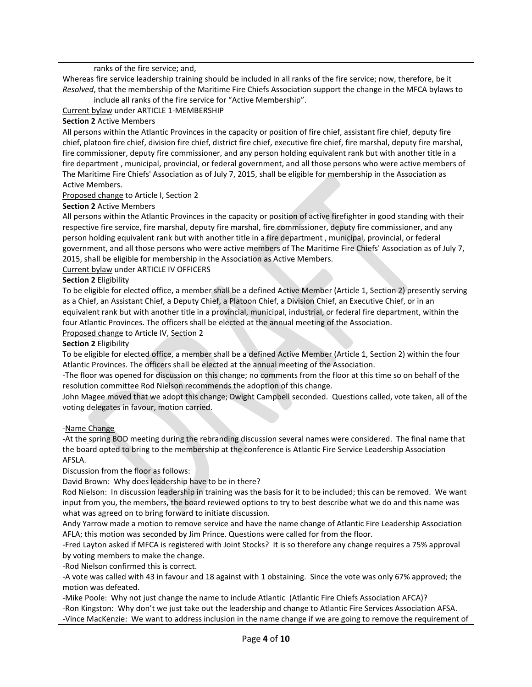ranks of the fire service; and,

Whereas fire service leadership training should be included in all ranks of the fire service; now, therefore, be it *Resolved*, that the membership of the Maritime Fire Chiefs Association support the change in the MFCA bylaws to

include all ranks of the fire service for "Active Membership".

Current bylaw under ARTICLE 1-MEMBERSHIP

## **Section 2** Active Members

All persons within the Atlantic Provinces in the capacity or position of fire chief, assistant fire chief, deputy fire chief, platoon fire chief, division fire chief, district fire chief, executive fire chief, fire marshal, deputy fire marshal, fire commissioner, deputy fire commissioner, and any person holding equivalent rank but with another title in a fire department , municipal, provincial, or federal government, and all those persons who were active members of The Maritime Fire Chiefs' Association as of July 7, 2015, shall be eligible for membership in the Association as Active Members.

Proposed change to Article I, Section 2

**Section 2** Active Members

All persons within the Atlantic Provinces in the capacity or position of active firefighter in good standing with their respective fire service, fire marshal, deputy fire marshal, fire commissioner, deputy fire commissioner, and any person holding equivalent rank but with another title in a fire department , municipal, provincial, or federal government, and all those persons who were active members of The Maritime Fire Chiefs' Association as of July 7, 2015, shall be eligible for membership in the Association as Active Members.

Current bylaw under ARTICLE IV OFFICERS

## **Section 2** Eligibility

To be eligible for elected office, a member shall be a defined Active Member (Article 1, Section 2) presently serving as a Chief, an Assistant Chief, a Deputy Chief, a Platoon Chief, a Division Chief, an Executive Chief, or in an equivalent rank but with another title in a provincial, municipal, industrial, or federal fire department, within the four Atlantic Provinces. The officers shall be elected at the annual meeting of the Association.

Proposed change to Article IV, Section 2

**Section 2** Eligibility

To be eligible for elected office, a member shall be a defined Active Member (Article 1, Section 2) within the four Atlantic Provinces. The officers shall be elected at the annual meeting of the Association.

-The floor was opened for discussion on this change; no comments from the floor at this time so on behalf of the resolution committee Rod Nielson recommends the adoption of this change.

John Magee moved that we adopt this change; Dwight Campbell seconded. Questions called, vote taken, all of the voting delegates in favour, motion carried.

## -Name Change

-At the spring BOD meeting during the rebranding discussion several names were considered. The final name that the board opted to bring to the membership at the conference is Atlantic Fire Service Leadership Association AFSLA.

Discussion from the floor as follows:

David Brown: Why does leadership have to be in there?

Rod Nielson: In discussion leadership in training was the basis for it to be included; this can be removed. We want input from you, the members, the board reviewed options to try to best describe what we do and this name was what was agreed on to bring forward to initiate discussion.

Andy Yarrow made a motion to remove service and have the name change of Atlantic Fire Leadership Association AFLA; this motion was seconded by Jim Prince. Questions were called for from the floor.

-Fred Layton asked if MFCA is registered with Joint Stocks? It is so therefore any change requires a 75% approval by voting members to make the change.

-Rod Nielson confirmed this is correct.

-A vote was called with 43 in favour and 18 against with 1 obstaining. Since the vote was only 67% approved; the motion was defeated.

-Mike Poole: Why not just change the name to include Atlantic (Atlantic Fire Chiefs Association AFCA)? -Ron Kingston: Why don't we just take out the leadership and change to Atlantic Fire Services Association AFSA. -Vince MacKenzie: We want to address inclusion in the name change if we are going to remove the requirement of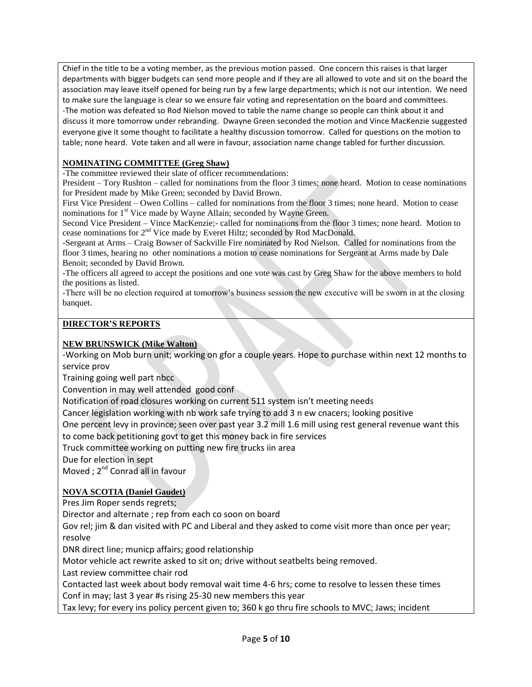Chief in the title to be a voting member, as the previous motion passed. One concern this raises is that larger departments with bigger budgets can send more people and if they are all allowed to vote and sit on the board the association may leave itself opened for being run by a few large departments; which is not our intention. We need to make sure the language is clear so we ensure fair voting and representation on the board and committees. -The motion was defeated so Rod Nielson moved to table the name change so people can think about it and discuss it more tomorrow under rebranding. Dwayne Green seconded the motion and Vince MacKenzie suggested everyone give it some thought to facilitate a healthy discussion tomorrow. Called for questions on the motion to table; none heard. Vote taken and all were in favour, association name change tabled for further discussion.

# **NOMINATING COMMITTEE (Greg Shaw)**

-The committee reviewed their slate of officer recommendations:

President – Tory Rushton – called for nominations from the floor 3 times; none heard. Motion to cease nominations for President made by Mike Green; seconded by David Brown.

First Vice President – Owen Collins – called for nominations from the floor 3 times; none heard. Motion to cease nominations for 1<sup>st</sup> Vice made by Wayne Allain; seconded by Wayne Green.

Second Vice President – Vince MacKenzie;- called for nominations from the floor 3 times; none heard. Motion to cease nominations for 2<sup>nd</sup> Vice made by Everet Hiltz; seconded by Rod MacDonald.

-Sergeant at Arms – Craig Bowser of Sackville Fire nominated by Rod Nielson. Called for nominations from the floor 3 times, hearing no other nominations a motion to cease nominations for Sergeant at Arms made by Dale Benoit; seconded by David Brown.

-The officers all agreed to accept the positions and one vote was cast by Greg Shaw for the above members to hold the positions as listed.

-There will be no election required at tomorrow's business session the new executive will be sworn in at the closing banquet.

## **DIRECTOR'S REPORTS**

# **NEW BRUNSWICK (Mike Walton)**

-Working on Mob burn unit; working on gfor a couple years. Hope to purchase within next 12 months to service prov

Training going well part nbcc

Convention in may well attended good conf

Notification of road closures working on current 511 system isn't meeting needs

Cancer legislation working with nb work safe trying to add 3 n ew cnacers; looking positive

One percent levy in province; seen over past year 3.2 mill 1.6 mill using rest general revenue want this to come back petitioning govt to get this money back in fire services

Truck committee working on putting new fire trucks iin area

Due for election in sept

Moved ; 2<sup>nd</sup> Conrad all in favour

# **NOVA SCOTIA (Daniel Gaudet)**

Pres Jim Roper sends regrets;

Director and alternate ; rep from each co soon on board

Gov rel; jim & dan visited with PC and Liberal and they asked to come visit more than once per year; resolve

DNR direct line; municp affairs; good relationship

Motor vehicle act rewrite asked to sit on; drive without seatbelts being removed.

Last review committee chair rod

Contacted last week about body removal wait time 4-6 hrs; come to resolve to lessen these times Conf in may; last 3 year #s rising 25-30 new members this year

Tax levy; for every ins policy percent given to; 360 k go thru fire schools to MVC; Jaws; incident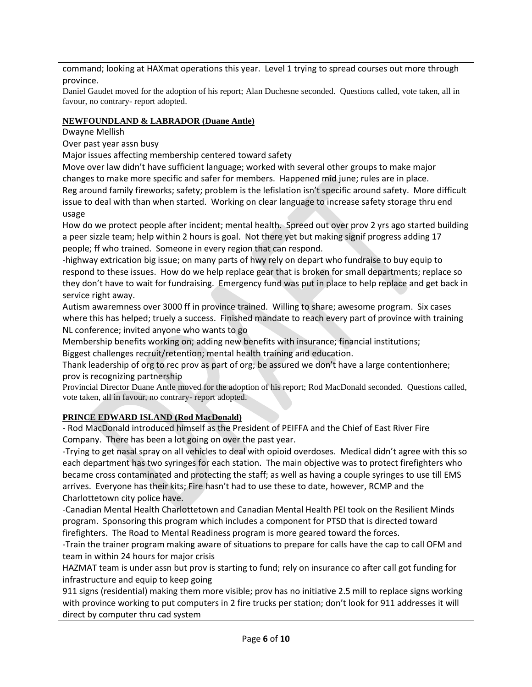command; looking at HAXmat operations this year. Level 1 trying to spread courses out more through province.

Daniel Gaudet moved for the adoption of his report; Alan Duchesne seconded. Questions called, vote taken, all in favour, no contrary- report adopted.

# **NEWFOUNDLAND & LABRADOR (Duane Antle)**

Dwayne Mellish

Over past year assn busy

Major issues affecting membership centered toward safety

Move over law didn't have sufficient language; worked with several other groups to make major changes to make more specific and safer for members. Happened mid june; rules are in place. Reg around family fireworks; safety; problem is the lefislation isn't specific around safety. More difficult issue to deal with than when started. Working on clear language to increase safety storage thru end usage

How do we protect people after incident; mental health. Spreed out over prov 2 yrs ago started building a peer sizzle team; help within 2 hours is goal. Not there yet but making signif progress adding 17 people; ff who trained. Someone in every region that can respond.

-highway extrication big issue; on many parts of hwy rely on depart who fundraise to buy equip to respond to these issues. How do we help replace gear that is broken for small departments; replace so they don't have to wait for fundraising. Emergency fund was put in place to help replace and get back in service right away.

Autism awaremness over 3000 ff in province trained. Willing to share; awesome program. Six cases where this has helped; truely a success. Finished mandate to reach every part of province with training NL conference; invited anyone who wants to go

Membership benefits working on; adding new benefits with insurance; financial institutions; Biggest challenges recruit/retention; mental health training and education.

Thank leadership of org to rec prov as part of org; be assured we don't have a large contentionhere; prov is recognizing partnership

Provincial Director Duane Antle moved for the adoption of his report; Rod MacDonald seconded. Questions called, vote taken, all in favour, no contrary- report adopted.

# **PRINCE EDWARD ISLAND (Rod MacDonald)**

- Rod MacDonald introduced himself as the President of PEIFFA and the Chief of East River Fire Company. There has been a lot going on over the past year.

-Trying to get nasal spray on all vehicles to deal with opioid overdoses. Medical didn't agree with this so each department has two syringes for each station. The main objective was to protect firefighters who became cross contaminated and protecting the staff; as well as having a couple syringes to use till EMS arrives. Everyone has their kits; Fire hasn't had to use these to date, however, RCMP and the Charlottetown city police have.

-Canadian Mental Health Charlottetown and Canadian Mental Health PEI took on the Resilient Minds program. Sponsoring this program which includes a component for PTSD that is directed toward firefighters. The Road to Mental Readiness program is more geared toward the forces.

-Train the trainer program making aware of situations to prepare for calls have the cap to call OFM and team in within 24 hours for major crisis

HAZMAT team is under assn but prov is starting to fund; rely on insurance co after call got funding for infrastructure and equip to keep going

911 signs (residential) making them more visible; prov has no initiative 2.5 mill to replace signs working with province working to put computers in 2 fire trucks per station; don't look for 911 addresses it will direct by computer thru cad system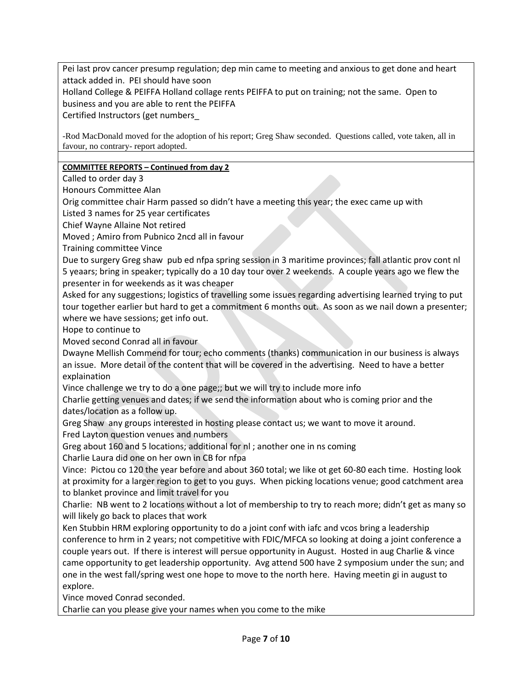Pei last prov cancer presump regulation; dep min came to meeting and anxious to get done and heart attack added in. PEI should have soon

Holland College & PEIFFA Holland collage rents PEIFFA to put on training; not the same. Open to business and you are able to rent the PEIFFA

Certified Instructors (get numbers\_

-Rod MacDonald moved for the adoption of his report; Greg Shaw seconded. Questions called, vote taken, all in favour, no contrary- report adopted.

# **COMMITTEE REPORTS – Continued from day 2**

Called to order day 3

Honours Committee Alan

Orig committee chair Harm passed so didn't have a meeting this year; the exec came up with

Listed 3 names for 25 year certificates

Chief Wayne Allaine Not retired

Moved ; Amiro from Pubnico 2ncd all in favour

Training committee Vince

Due to surgery Greg shaw pub ed nfpa spring session in 3 maritime provinces; fall atlantic prov cont nl 5 yeaars; bring in speaker; typically do a 10 day tour over 2 weekends. A couple years ago we flew the presenter in for weekends as it was cheaper

Asked for any suggestions; logistics of travelling some issues regarding advertising learned trying to put tour together earlier but hard to get a commitment 6 months out. As soon as we nail down a presenter; where we have sessions; get info out.

Hope to continue to

Moved second Conrad all in favour

Dwayne Mellish Commend for tour; echo comments (thanks) communication in our business is always an issue. More detail of the content that will be covered in the advertising. Need to have a better explaination

Vince challenge we try to do a one page;; but we will try to include more info

Charlie getting venues and dates; if we send the information about who is coming prior and the dates/location as a follow up.

Greg Shaw any groups interested in hosting please contact us; we want to move it around.

Fred Layton question venues and numbers

Greg about 160 and 5 locations; additional for nl ; another one in ns coming

Charlie Laura did one on her own in CB for nfpa

Vince: Pictou co 120 the year before and about 360 total; we like ot get 60-80 each time. Hosting look at proximity for a larger region to get to you guys. When picking locations venue; good catchment area to blanket province and limit travel for you

Charlie: NB went to 2 locations without a lot of membership to try to reach more; didn't get as many so will likely go back to places that work

Ken Stubbin HRM exploring opportunity to do a joint conf with iafc and vcos bring a leadership conference to hrm in 2 years; not competitive with FDIC/MFCA so looking at doing a joint conference a couple years out. If there is interest will persue opportunity in August. Hosted in aug Charlie & vince came opportunity to get leadership opportunity. Avg attend 500 have 2 symposium under the sun; and one in the west fall/spring west one hope to move to the north here. Having meetin gi in august to explore.

Vince moved Conrad seconded.

Charlie can you please give your names when you come to the mike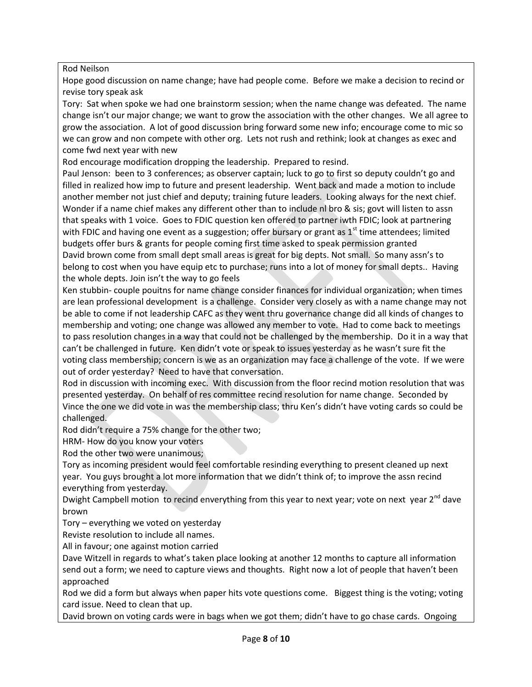Rod Neilson

Hope good discussion on name change; have had people come. Before we make a decision to recind or revise tory speak ask

Tory: Sat when spoke we had one brainstorm session; when the name change was defeated. The name change isn't our major change; we want to grow the association with the other changes. We all agree to grow the association. A lot of good discussion bring forward some new info; encourage come to mic so we can grow and non compete with other org. Lets not rush and rethink; look at changes as exec and come fwd next year with new

Rod encourage modification dropping the leadership. Prepared to resind.

Paul Jenson: been to 3 conferences; as observer captain; luck to go to first so deputy couldn't go and filled in realized how imp to future and present leadership. Went back and made a motion to include another member not just chief and deputy; training future leaders. Looking always for the next chief. Wonder if a name chief makes any different other than to include nl bro & sis; govt will listen to assn that speaks with 1 voice. Goes to FDIC question ken offered to partner iwth FDIC; look at partnering with FDIC and having one event as a suggestion; offer bursary or grant as  $1<sup>st</sup>$  time attendees; limited budgets offer burs & grants for people coming first time asked to speak permission granted David brown come from small dept small areas is great for big depts. Not small. So many assn's to belong to cost when you have equip etc to purchase; runs into a lot of money for small depts.. Having the whole depts. Join isn't the way to go feels

Ken stubbin- couple pouitns for name change consider finances for individual organization; when times are lean professional development is a challenge. Consider very closely as with a name change may not be able to come if not leadership CAFC as they went thru governance change did all kinds of changes to membership and voting; one change was allowed any member to vote. Had to come back to meetings to pass resolution changes in a way that could not be challenged by the membership. Do it in a way that can't be challenged in future. Ken didn't vote or speak to issues yesterday as he wasn't sure fit the voting class membership; concern is we as an organization may face a challenge of the vote. If we were out of order yesterday? Need to have that conversation.

Rod in discussion with incoming exec. With discussion from the floor recind motion resolution that was presented yesterday. On behalf of res committee recind resolution for name change. Seconded by Vince the one we did vote in was the membership class; thru Ken's didn't have voting cards so could be challenged.

Rod didn't require a 75% change for the other two;

HRM- How do you know your voters

Rod the other two were unanimous;

Tory as incoming president would feel comfortable resinding everything to present cleaned up next year. You guys brought a lot more information that we didn't think of; to improve the assn recind everything from yesterday.

Dwight Campbell motion to recind enverything from this year to next year; vote on next year  $2^{nd}$  dave brown

Tory – everything we voted on yesterday

Reviste resolution to include all names.

All in favour; one against motion carried

Dave Witzell in regards to what's taken place looking at another 12 months to capture all information send out a form; we need to capture views and thoughts. Right now a lot of people that haven't been approached

Rod we did a form but always when paper hits vote questions come. Biggest thing is the voting; voting card issue. Need to clean that up.

David brown on voting cards were in bags when we got them; didn't have to go chase cards. Ongoing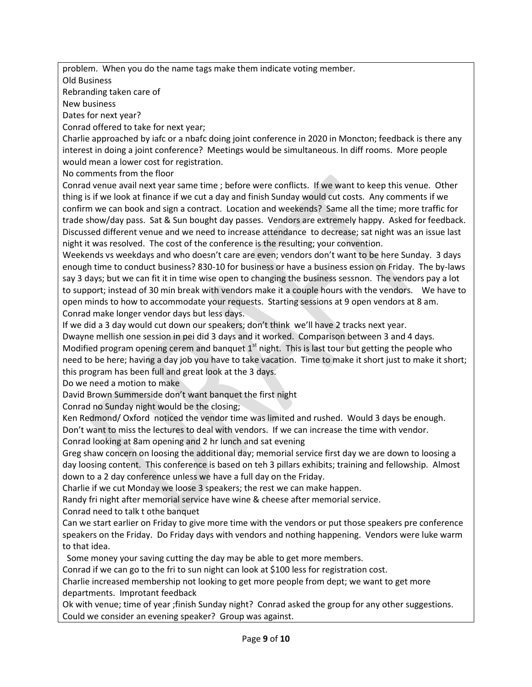problem. When you do the name tags make them indicate voting member.

Old Business

Rebranding taken care of

New business

Dates for next year?

Conrad offered to take for next year;

Charlie approached by iafc or a nbafc doing joint conference in 2020 in Moncton; feedback is there any interest in doing a joint conference? Meetings would be simultaneous. In diff rooms. More people would mean a lower cost for registration.

No comments from the floor

Conrad venue avail next year same time ; before were conflicts. If we want to keep this venue. Other thing is if we look at finance if we cut a day and finish Sunday would cut costs. Any comments if we confirm we can book and sign a contract. Location and weekends? Same all the time; more traffic for trade show/day pass. Sat & Sun bought day passes. Vendors are extremely happy. Asked for feedback. Discussed different venue and we need to increase attendance to decrease; sat night was an issue last night it was resolved. The cost of the conference is the resulting; your convention.

Weekends vs weekdays and who doesn't care are even; vendors don't want to be here Sunday. 3 days enough time to conduct business? 830-10 for business or have a business ession on Friday. The by-laws say 3 days; but we can fit it in time wise open to changing the business sessnon. The vendors pay a lot to support; instead of 30 min break with vendors make it a couple hours with the vendors. We have to open minds to how to accommodate your requests. Starting sessions at 9 open vendors at 8 am. Conrad make longer vendor days but less days.

If we did a 3 day would cut down our speakers; don't think we'll have 2 tracks next year.

Dwayne mellish one session in pei did 3 days and it worked. Comparison between 3 and 4 days. Modified program opening cerem and banquet  $1<sup>st</sup>$  night. This is last tour but getting the people who need to be here; having a day job you have to take vacation. Time to make it short just to make it short;

this program has been full and great look at the 3 days.

Do we need a motion to make

David Brown Summerside don't want banquet the first night

Conrad no Sunday night would be the closing;

Ken Redmond/ Oxford noticed the vendor time was limited and rushed. Would 3 days be enough. Don't want to miss the lectures to deal with vendors. If we can increase the time with vendor.

Conrad looking at 8am opening and 2 hr lunch and sat evening

Greg shaw concern on loosing the additional day; memorial service first day we are down to loosing a day loosing content. This conference is based on teh 3 pillars exhibits; training and fellowship. Almost down to a 2 day conference unless we have a full day on the Friday.

Charlie if we cut Monday we loose 3 speakers; the rest we can make happen.

Randy fri night after memorial service have wine & cheese after memorial service.

Conrad need to talk t othe banquet

Can we start earlier on Friday to give more time with the vendors or put those speakers pre conference speakers on the Friday. Do Friday days with vendors and nothing happening. Vendors were luke warm to that idea.

Some money your saving cutting the day may be able to get more members.

Conrad if we can go to the fri to sun night can look at \$100 less for registration cost.

Charlie increased membership not looking to get more people from dept; we want to get more departments. Improtant feedback

Ok with venue; time of year ;finish Sunday night? Conrad asked the group for any other suggestions. Could we consider an evening speaker? Group was against.